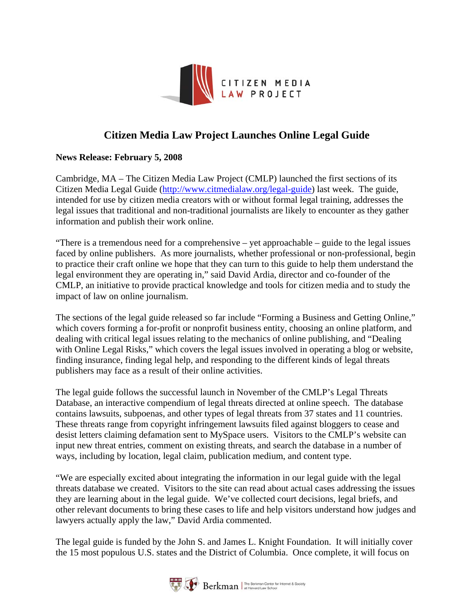

# **Citizen [Media Law Project Launches Online Leg](http://www.citmedialaw.org)al Guide**

## **News Release: February 5, 2008**

Cambridge, MA – The Citizen Media Law Project (CMLP) launched the first sections of its Citizen Media Legal Guide [\(http://www.citmedialaw.org/legal-guide\)](http://www.citmedialaw.org/legal-guide) last week. The guide, intended for use by citizen media creators with or without formal legal training, addresses the legal issues that traditional and non-traditional journalists are likely to encounter as they gather information and publish their work online.

"There is a tremendous need for a comprehensive – yet approachable – guide to the legal issues faced by online publishers. As more journalists, whether professional or non-professional, begin to practice their craft online we hope that they can turn to this guide to help them understand the legal environment they are operating in," said David Ardia, director and co-founder of the CMLP, an initiative to provide practical knowledge and tools for citizen media and to study the impact of law on online journalism.

The sections of the legal guide released so far include "Forming a Business and Getting Online," which covers forming a for-profit or nonprofit business entity, choosing an online platform, and dealing with critical legal issues relating to the mechanics of online publishing, and "Dealing with Online Legal Risks," which covers the legal issues involved in operating a blog or website, finding insurance, finding legal help, and responding to the different kinds of legal threats publishers may face as a result of their online activities.

The legal guide follows the successful launch in November of the CMLP's Legal Threats Database, an interactive compendium of legal threats directed at online speech. The database contains lawsuits, subpoenas, and other types of legal threats from 37 states and 11 countries. These threats range from copyright infringement lawsuits filed against bloggers to cease and desist letters claiming defamation sent to MySpace users. Visitors to the CMLP's website can input new threat entries, comment on existing threats, and search the database in a number of ways, including by location, legal claim, publication medium, and content type.

"We are especially excited about integrating the information in our legal guide with the legal threats database we created. Visitors to the site can read about actual cases addressing the issues they are learning about in the legal guide. We've collected court decisions, legal briefs, and other relevant documents to bring these cases to life and help visitors understand how judges and lawyers actually apply the law," David Ardia commented.

The legal guide is funded by the John S. and James L. Knight Foundation. It will initially cover the 15 most populous U.S. states and the District of Columbia. Once complete, it will focus on